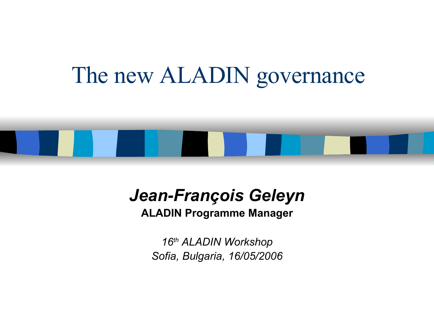## The new ALADIN governance



#### *Jean-François Geleyn*

#### **ALADIN Programme Manager**

*16 th ALADIN Workshop Sofia, Bulgaria, 16/05/2006*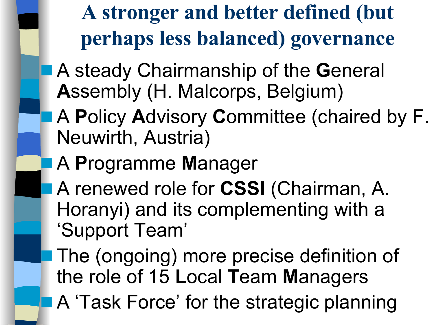**A stronger and better defined (but perhaps less balanced) governance**

- A steady Chairmanship of the **G**eneral **A**ssembly (H. Malcorps, Belgium)
	- A **P**olicy **A**dvisory **C**ommittee (chaired by F. Neuwirth, Austria)
	- A **P**rogramme **M**anager
- A renewed role for **CSSI** (Chairman, A. Horanyi) and its complementing with a 'Support Team'

The (ongoing) more precise definition of the role of 15 **L**ocal **T**eam **M**anagers A 'Task Force' for the strategic planning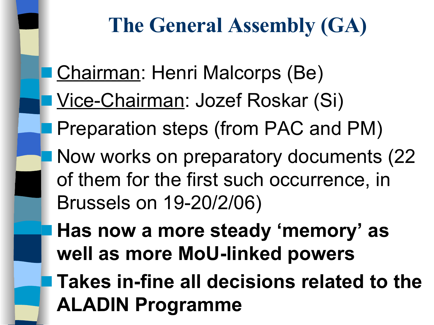## **The General Assembly (GA)**

**Chairman: Henri Malcorps (Be)** Vice-Chairman: Jozef Roskar (Si) Preparation steps (from PAC and PM) Now works on preparatory documents (22) of them for the first such occurrence, in Brussels on 19-20/2/06) ■ **Has now a more steady 'memory' as well as more MoU-linked powers**

■ **Takes in-fine all decisions related to the ALADIN Programme**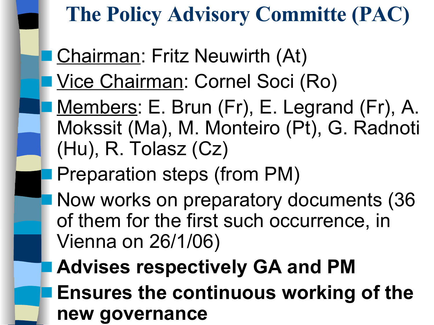## **The Policy Advisory Committe (PAC)**

Chairman: Fritz Neuwirth (At)

Vice Chairman: Cornel Soci (Ro)

Members: E. Brun (Fr), E. Legrand (Fr), A. Mokssit (Ma), M. Monteiro (Pt), G. Radnoti (Hu), R. Tolasz (Cz)

Preparation steps (from PM)

Now works on preparatory documents (36 of them for the first such occurrence, in Vienna on 26/1/06)

■ **Advises respectively GA and PM Ensures the continuous working of the new governance**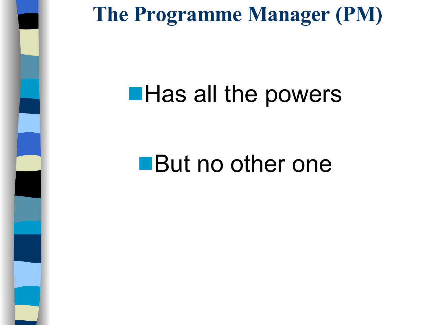

## **The Programme Manager (PM)**

## ■ Has all the powers

# ■ But no other one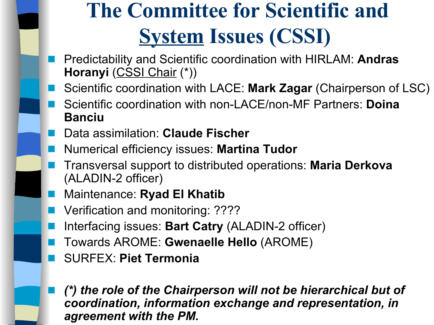## **The Committee for Scientific and System Issues (CSSI)**

- Predictability and Scientific coordination with HIRLAM: **Andras Horanyi** (CSSI Chair (\*))
- Scientific coordination with LACE: **Mark Zagar** (Chairperson of LSC)
- Scientific coordination with non-LACE/non-MF Partners: **Doina Banciu**
- Data assimilation: **Claude Fischer**
- Numerical efficiency issues: **Martina Tudor**
- Transversal support to distributed operations: **Maria Derkova** (ALADIN-2 officer)
- Maintenance: **Ryad El Khatib**
- Verification and monitoring: ????
- Interfacing issues: **Bart Catry** (ALADIN-2 officer)
- Towards AROME: **Gwenaelle Hello** (AROME)
- SURFEX: **Piet Termonia**
- *(\*) the role of the Chairperson will not be hierarchical but of coordination, information exchange and representation, in agreement with the PM.*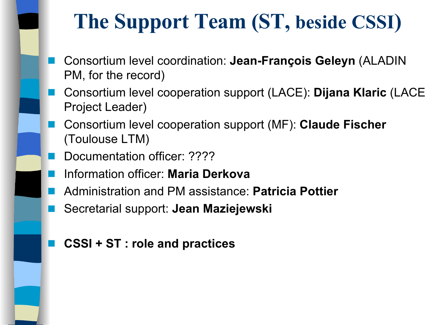## **The Support Team (ST, beside CSSI)**

- Consortium level coordination: **Jean-François Geleyn** (ALADIN PM, for the record)
- Consortium level cooperation support (LACE): **Dijana Klaric** (LACE Project Leader)
- Consortium level cooperation support (MF): **Claude Fischer** (Toulouse LTM)
- Documentation officer: ????
- Information officer: **Maria Derkova**
- Administration and PM assistance: **Patricia Pottier**
- Secretarial support: **Jean Maziejewski**
- **CSSI + ST : role and practices**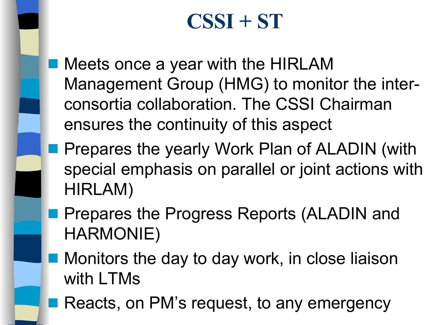## **CSSI + ST**

- Meets once a year with the HIRLAM Management Group (HMG) to monitor the interconsortia collaboration. The CSSI Chairman ensures the continuity of this aspect
- Prepares the yearly Work Plan of ALADIN (with special emphasis on parallel or joint actions with HIRLAM)
- Prepares the Progress Reports (ALADIN and HARMONIE)
- Monitors the day to day work, in close liaison with LTMs
- Reacts, on PM's request, to any emergency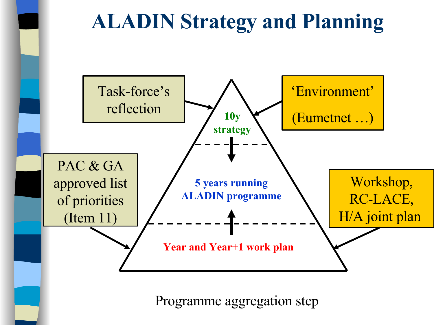## **ALADIN Strategy and Planning**



Programme aggregation step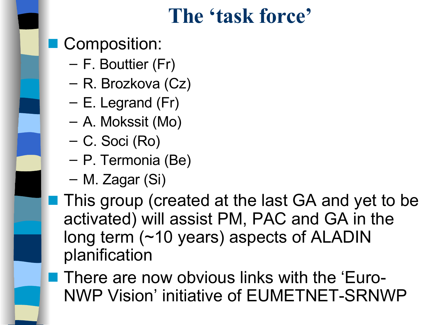## **The 'task force'**

- Composition:
	- F. Bouttier (Fr)
	- R. Brozkova (Cz)
	- E. Legrand (Fr)
	- A. Mokssit (Mo)
	- C. Soci (Ro)
	- P. Termonia (Be)
	- M. Zagar (Si)
- This group (created at the last GA and yet to be activated) will assist PM, PAC and GA in the long term (~10 years) aspects of ALADIN planification
- There are now obvious links with the 'Euro-NWP Vision' initiative of EUMETNET-SRNWP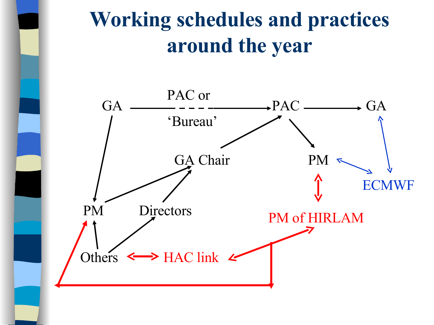## **Working schedules and practices around the year**